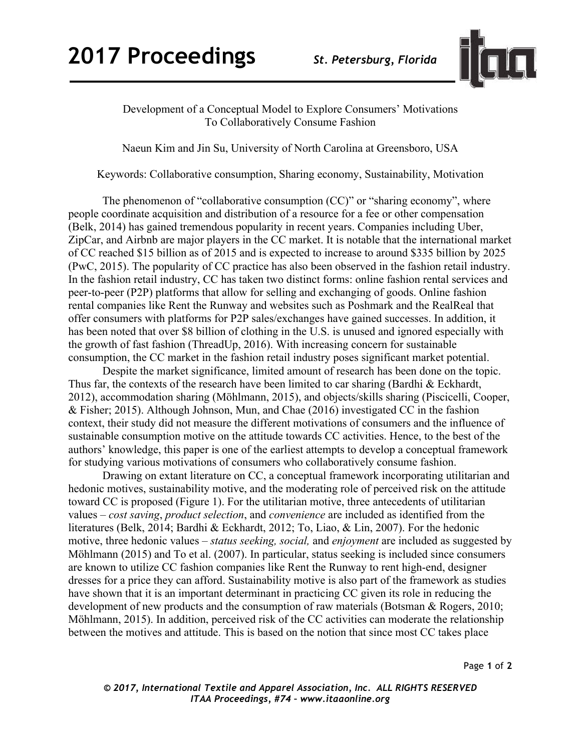

## Development of a Conceptual Model to Explore Consumers' Motivations To Collaboratively Consume Fashion

Naeun Kim and Jin Su, University of North Carolina at Greensboro, USA

Keywords: Collaborative consumption, Sharing economy, Sustainability, Motivation

The phenomenon of "collaborative consumption (CC)" or "sharing economy", where people coordinate acquisition and distribution of a resource for a fee or other compensation (Belk, 2014) has gained tremendous popularity in recent years. Companies including Uber, ZipCar, and Airbnb are major players in the CC market. It is notable that the international market of CC reached \$15 billion as of 2015 and is expected to increase to around \$335 billion by 2025 (PwC, 2015). The popularity of CC practice has also been observed in the fashion retail industry. In the fashion retail industry, CC has taken two distinct forms: online fashion rental services and peer-to-peer (P2P) platforms that allow for selling and exchanging of goods. Online fashion rental companies like Rent the Runway and websites such as Poshmark and the RealReal that offer consumers with platforms for P2P sales/exchanges have gained successes. In addition, it has been noted that over \$8 billion of clothing in the U.S. is unused and ignored especially with the growth of fast fashion (ThreadUp, 2016). With increasing concern for sustainable consumption, the CC market in the fashion retail industry poses significant market potential.

Despite the market significance, limited amount of research has been done on the topic. Thus far, the contexts of the research have been limited to car sharing (Bardhi & Eckhardt, 2012), accommodation sharing (Möhlmann, 2015), and objects/skills sharing (Piscicelli, Cooper, & Fisher; 2015). Although Johnson, Mun, and Chae (2016) investigated CC in the fashion context, their study did not measure the different motivations of consumers and the influence of sustainable consumption motive on the attitude towards CC activities. Hence, to the best of the authors' knowledge, this paper is one of the earliest attempts to develop a conceptual framework for studying various motivations of consumers who collaboratively consume fashion.

Drawing on extant literature on CC, a conceptual framework incorporating utilitarian and hedonic motives, sustainability motive, and the moderating role of perceived risk on the attitude toward CC is proposed (Figure 1). For the utilitarian motive, three antecedents of utilitarian values – *cost saving*, *product selection*, and *convenience* are included as identified from the literatures (Belk, 2014; Bardhi & Eckhardt, 2012; To, Liao, & Lin, 2007). For the hedonic motive, three hedonic values – *status seeking, social,* and *enjoyment* are included as suggested by Möhlmann (2015) and To et al. (2007). In particular, status seeking is included since consumers are known to utilize CC fashion companies like Rent the Runway to rent high-end, designer dresses for a price they can afford. Sustainability motive is also part of the framework as studies have shown that it is an important determinant in practicing CC given its role in reducing the development of new products and the consumption of raw materials (Botsman & Rogers, 2010; Möhlmann, 2015). In addition, perceived risk of the CC activities can moderate the relationship between the motives and attitude. This is based on the notion that since most CC takes place

*© 2017, International Textile and Apparel Association, Inc. ALL RIGHTS RESERVED ITAA Proceedings, #74 – www.itaaonline.org*